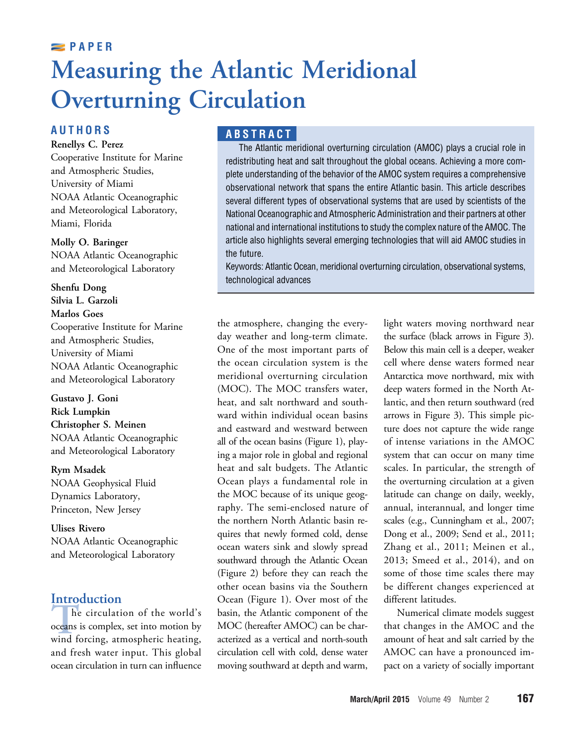### March/April 2015 Volume 49 Number 2 167

# **PAPER** Measuring the Atlantic Meridional Overturning Circulation

# **AUTHORS**

Renellys C. Perez

Cooperative Institute for Marine and Atmospheric Studies, University of Miami NOAA Atlantic Oceanographic and Meteorological Laboratory, Miami, Florida

#### Molly O. Baringer

NOAA Atlantic Oceanographic and Meteorological Laboratory

Shenfu Dong Silvia L. Garzoli Marlos Goes Cooperative Institute for Marine and Atmospheric Studies, University of Miami NOAA Atlantic Oceanographic and Meteorological Laboratory

Gustavo J. Goni Rick Lumpkin Christopher S. Meinen NOAA Atlantic Oceanographic and Meteorological Laboratory

Rym Msadek NOAA Geophysical Fluid Dynamics Laboratory, Princeton, New Jersey

Ulises Rivero NOAA Atlantic Oceanographic and Meteorological Laboratory

**Introduction**<br>The circulation of the world's The circulation of the world's<br>oceans is complex, set into motion by<br>wind forcing, atmospheric heating, oceans is complex, set into motion by wind forcing, atmospheric heating, and fresh water input. This global ocean circulation in turn can influence

# ABSTRACT

The Atlantic meridional overturning circulation (AMOC) plays a crucial role in redistributing heat and salt throughout the global oceans. Achieving a more complete understanding of the behavior of the AMOC system requires a comprehensive observational network that spans the entire Atlantic basin. This article describes several different types of observational systems that are used by scientists of the National Oceanographic and Atmospheric Administration and their partners at other national and international institutions to study the complex nature of the AMOC. The article also highlights several emerging technologies that will aid AMOC studies in the future.

Keywords: Atlantic Ocean, meridional overturning circulation, observational systems, technological advances

the atmosphere, changing the everyday weather and long-term climate. One of the most important parts of the ocean circulation system is the meridional overturning circulation (MOC). The MOC transfers water, heat, and salt northward and southward within individual ocean basins and eastward and westward between all of the ocean basins (Figure 1), playing a major role in global and regional heat and salt budgets. The Atlantic Ocean plays a fundamental role in the MOC because of its unique geography. The semi-enclosed nature of the northern North Atlantic basin requires that newly formed cold, dense ocean waters sink and slowly spread southward through the Atlantic Ocean (Figure 2) before they can reach the other ocean basins via the Southern Ocean (Figure 1). Over most of the basin, the Atlantic component of the MOC (hereafter AMOC) can be characterized as a vertical and north-south circulation cell with cold, dense water moving southward at depth and warm,

light waters moving northward near the surface (black arrows in Figure 3). Below this main cell is a deeper, weaker cell where dense waters formed near Antarctica move northward, mix with deep waters formed in the North Atlantic, and then return southward (red arrows in Figure 3). This simple picture does not capture the wide range of intense variations in the AMOC system that can occur on many time scales. In particular, the strength of the overturning circulation at a given latitude can change on daily, weekly, annual, interannual, and longer time scales (e.g., Cunningham et al., 2007; Dong et al., 2009; Send et al., 2011; Zhang et al., 2011; Meinen et al., 2013; Smeed et al., 2014), and on some of those time scales there may be different changes experienced at different latitudes.

Numerical climate models suggest that changes in the AMOC and the amount of heat and salt carried by the AMOC can have a pronounced impact on a variety of socially important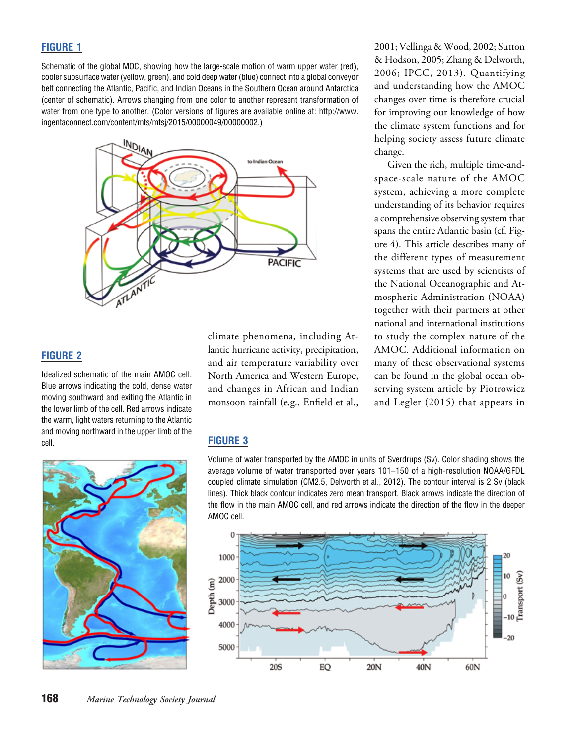#### FIGURE 1

Schematic of the global MOC, showing how the large-scale motion of warm upper water (red), cooler subsurface water (yellow, green), and cold deep water (blue) connect into a global conveyor belt connecting the Atlantic, Pacific, and Indian Oceans in the Southern Ocean around Antarctica (center of schematic). Arrows changing from one color to another represent transformation of water from one type to another. (Color versions of figures are available online at: http://www. ingentaconnect.com/content/mts/mtsj/2015/00000049/00000002.)



FIGURE 2

Idealized schematic of the main AMOC cell. Blue arrows indicating the cold, dense water moving southward and exiting the Atlantic in the lower limb of the cell. Red arrows indicate the warm, light waters returning to the Atlantic and moving northward in the upper limb of the cell. **FIGURE 3** 



climate phenomena, including Atlantic hurricane activity, precipitation, and air temperature variability over North America and Western Europe, and changes in African and Indian monsoon rainfall (e.g., Enfield et al.,

2001; Vellinga & Wood, 2002; Sutton & Hodson, 2005; Zhang & Delworth, 2006; IPCC, 2013). Quantifying and understanding how the AMOC changes over time is therefore crucial for improving our knowledge of how the climate system functions and for helping society assess future climate change.

Given the rich, multiple time-andspace-scale nature of the AMOC system, achieving a more complete understanding of its behavior requires a comprehensive observing system that spans the entire Atlantic basin (cf. Figure 4). This article describes many of the different types of measurement systems that are used by scientists of the National Oceanographic and Atmospheric Administration (NOAA) together with their partners at other national and international institutions to study the complex nature of the AMOC. Additional information on many of these observational systems can be found in the global ocean observing system article by Piotrowicz and Legler (2015) that appears in

Volume of water transported by the AMOC in units of Sverdrups (Sv). Color shading shows the average volume of water transported over years 101*–*150 of a high-resolution NOAA/GFDL coupled climate simulation (CM2.5, Delworth et al., 2012). The contour interval is 2 Sv (black lines). Thick black contour indicates zero mean transport. Black arrows indicate the direction of the flow in the main AMOC cell, and red arrows indicate the direction of the flow in the deeper AMOC cell.

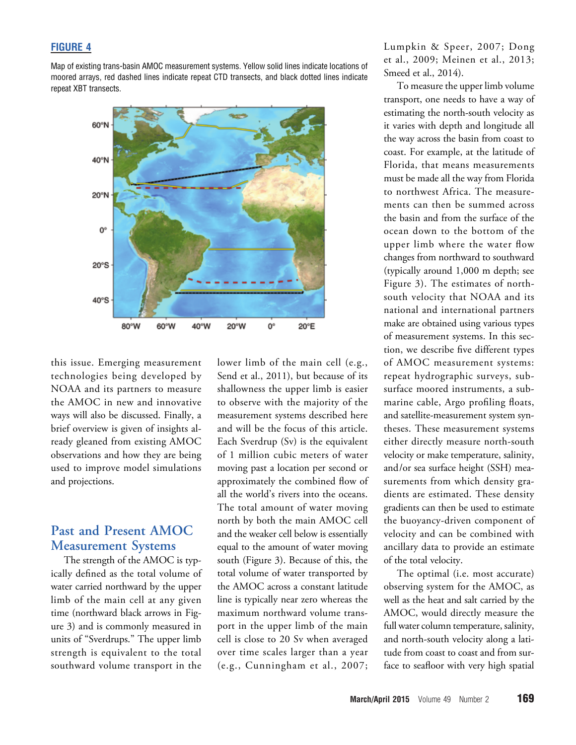### FIGURE 4

Map of existing trans-basin AMOC measurement systems. Yellow solid lines indicate locations of moored arrays, red dashed lines indicate repeat CTD transects, and black dotted lines indicate repeat XBT transects.



this issue. Emerging measurement technologies being developed by NOAA and its partners to measure the AMOC in new and innovative ways will also be discussed. Finally, a brief overview is given of insights already gleaned from existing AMOC observations and how they are being used to improve model simulations and projections.

# Past and Present AMOC Measurement Systems

The strength of the AMOC is typically defined as the total volume of water carried northward by the upper limb of the main cell at any given time (northward black arrows in Figure 3) and is commonly measured in units of "Sverdrups." The upper limb strength is equivalent to the total southward volume transport in the

lower limb of the main cell (e.g., Send et al., 2011), but because of its shallowness the upper limb is easier to observe with the majority of the measurement systems described here and will be the focus of this article. Each Sverdrup (Sv) is the equivalent of 1 million cubic meters of water moving past a location per second or approximately the combined flow of all the world's rivers into the oceans. The total amount of water moving north by both the main AMOC cell and the weaker cell below is essentially equal to the amount of water moving south (Figure 3). Because of this, the total volume of water transported by the AMOC across a constant latitude line is typically near zero whereas the maximum northward volume transport in the upper limb of the main cell is close to 20 Sv when averaged over time scales larger than a year (e.g., Cunningham et al., 2007;

Lumpkin & Speer, 2007; Dong et al., 2009; Meinen et al., 2013; Smeed et al., 2014).

To measure the upper limb volume transport, one needs to have a way of estimating the north-south velocity as it varies with depth and longitude all the way across the basin from coast to coast. For example, at the latitude of Florida, that means measurements must be made all the way from Florida to northwest Africa. The measurements can then be summed across the basin and from the surface of the ocean down to the bottom of the upper limb where the water flow changes from northward to southward (typically around 1,000 m depth; see Figure 3). The estimates of northsouth velocity that NOAA and its national and international partners make are obtained using various types of measurement systems. In this section, we describe five different types of AMOC measurement systems: repeat hydrographic surveys, subsurface moored instruments, a submarine cable, Argo profiling floats, and satellite-measurement system syntheses. These measurement systems either directly measure north-south velocity or make temperature, salinity, and /or sea surface height (SSH) measurements from which density gradients are estimated. These density gradients can then be used to estimate the buoyancy-driven component of velocity and can be combined with ancillary data to provide an estimate of the total velocity.

The optimal (i.e. most accurate) observing system for the AMOC, as well as the heat and salt carried by the AMOC, would directly measure the full water column temperature, salinity, and north-south velocity along a latitude from coast to coast and from surface to seafloor with very high spatial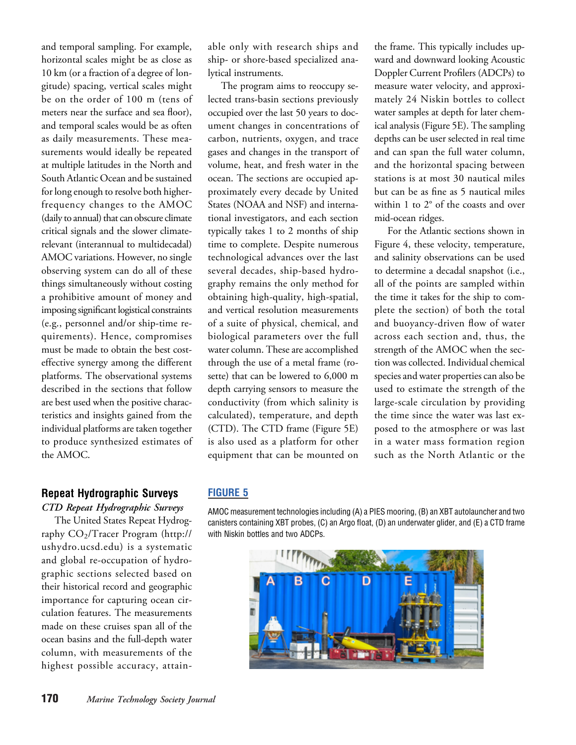and temporal sampling. For example, horizontal scales might be as close as 10 km (or a fraction of a degree of longitude) spacing, vertical scales might be on the order of 100 m (tens of meters near the surface and sea floor), and temporal scales would be as often as daily measurements. These measurements would ideally be repeated at multiple latitudes in the North and South Atlantic Ocean and be sustained for long enough to resolve both higherfrequency changes to the AMOC (daily to annual) that can obscure climate critical signals and the slower climaterelevant (interannual to multidecadal) AMOC variations. However, no single observing system can do all of these things simultaneously without costing a prohibitive amount of money and imposing significant logistical constraints (e.g., personnel and/or ship-time requirements). Hence, compromises must be made to obtain the best costeffective synergy among the different platforms. The observational systems described in the sections that follow are best used when the positive characteristics and insights gained from the individual platforms are taken together to produce synthesized estimates of the AMOC.

#### Repeat Hydrographic Surveys

CTD Repeat Hydrographic Surveys

The United States Repeat Hydrography CO2/Tracer Program (http:// ushydro.ucsd.edu) is a systematic and global re-occupation of hydrographic sections selected based on their historical record and geographic importance for capturing ocean circulation features. The measurements made on these cruises span all of the ocean basins and the full-depth water column, with measurements of the highest possible accuracy, attainable only with research ships and ship- or shore-based specialized analytical instruments.

The program aims to reoccupy selected trans-basin sections previously occupied over the last 50 years to document changes in concentrations of carbon, nutrients, oxygen, and trace gases and changes in the transport of volume, heat, and fresh water in the ocean. The sections are occupied approximately every decade by United States (NOAA and NSF) and international investigators, and each section typically takes 1 to 2 months of ship time to complete. Despite numerous technological advances over the last several decades, ship-based hydrography remains the only method for obtaining high-quality, high-spatial, and vertical resolution measurements of a suite of physical, chemical, and biological parameters over the full water column. These are accomplished through the use of a metal frame (rosette) that can be lowered to 6,000 m depth carrying sensors to measure the conductivity (from which salinity is calculated), temperature, and depth (CTD). The CTD frame (Figure 5E) is also used as a platform for other equipment that can be mounted on

the frame. This typically includes upward and downward looking Acoustic Doppler Current Profilers (ADCPs) to measure water velocity, and approximately 24 Niskin bottles to collect water samples at depth for later chemical analysis (Figure 5E). The sampling depths can be user selected in real time and can span the full water column, and the horizontal spacing between stations is at most 30 nautical miles but can be as fine as 5 nautical miles within 1 to 2° of the coasts and over mid-ocean ridges.

For the Atlantic sections shown in Figure 4, these velocity, temperature, and salinity observations can be used to determine a decadal snapshot (i.e., all of the points are sampled within the time it takes for the ship to complete the section) of both the total and buoyancy-driven flow of water across each section and, thus, the strength of the AMOC when the section was collected. Individual chemical species and water properties can also be used to estimate the strength of the large-scale circulation by providing the time since the water was last exposed to the atmosphere or was last in a water mass formation region such as the North Atlantic or the

#### FIGURE 5

AMOC measurement technologies including (A) a PIES mooring, (B) an XBT autolauncher and two canisters containing XBT probes, (C) an Argo float, (D) an underwater glider, and (E) a CTD frame with Niskin bottles and two ADCPs.

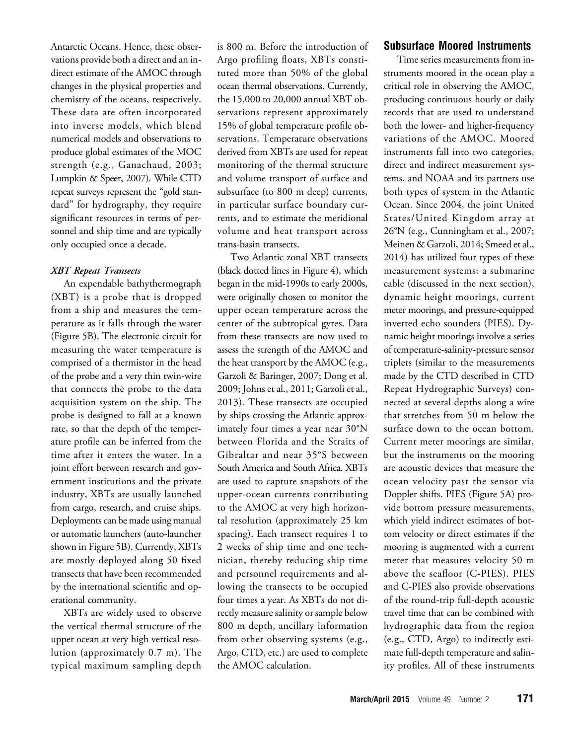Antarctic Oceans. Hence, these observations provide both a direct and an indirect estimate of the AMOC through changes in the physical properties and chemistry of the oceans, respectively. These data are often incorporated into inverse models, which blend numerical models and observations to produce global estimates of the MOC strength (e.g., Ganachaud, 2003; Lumpkin & Speer, 2007). While CTD repeat surveys represent the "gold standard" for hydrography, they require significant resources in terms of personnel and ship time and are typically only occupied once a decade.

#### XBT Repeat Transects

An expendable bathythermograph (XBT) is a probe that is dropped from a ship and measures the temperature as it falls through the water (Figure 5B). The electronic circuit for measuring the water temperature is comprised of a thermistor in the head of the probe and a very thin twin-wire that connects the probe to the data acquisition system on the ship. The probe is designed to fall at a known rate, so that the depth of the temperature profile can be inferred from the time after it enters the water. In a joint effort between research and government institutions and the private industry, XBTs are usually launched from cargo, research, and cruise ships. Deployments can be made using manual or automatic launchers (auto-launcher shown in Figure 5B). Currently, XBTs are mostly deployed along 50 fixed transects that have been recommended by the international scientific and operational community.

XBTs are widely used to observe the vertical thermal structure of the upper ocean at very high vertical resolution (approximately 0.7 m). The typical maximum sampling depth

is 800 m. Before the introduction of Argo profiling floats, XBTs constituted more than 50% of the global ocean thermal observations. Currently, the 15,000 to 20,000 annual XBT observations represent approximately 15% of global temperature profile observations. Temperature observations derived from XBTs are used for repeat monitoring of the thermal structure and volume transport of surface and subsurface (to 800 m deep) currents, in particular surface boundary currents, and to estimate the meridional volume and heat transport across trans-basin transects.

Two Atlantic zonal XBT transects (black dotted lines in Figure 4), which began in the mid-1990s to early 2000s, were originally chosen to monitor the upper ocean temperature across the center of the subtropical gyres. Data from these transects are now used to assess the strength of the AMOC and the heat transport by the AMOC (e.g., Garzoli & Baringer, 2007; Dong et al. 2009; Johns et al., 2011; Garzoli et al., 2013). These transects are occupied by ships crossing the Atlantic approximately four times a year near 30°N between Florida and the Straits of Gibraltar and near 35°S between South America and South Africa. XBTs are used to capture snapshots of the upper-ocean currents contributing to the AMOC at very high horizontal resolution (approximately 25 km spacing). Each transect requires 1 to 2 weeks of ship time and one technician, thereby reducing ship time and personnel requirements and allowing the transects to be occupied four times a year. As XBTs do not directly measure salinity or sample below 800 m depth, ancillary information from other observing systems (e.g., Argo, CTD, etc.) are used to complete the AMOC calculation.

#### Subsurface Moored Instruments

Time series measurements from instruments moored in the ocean play a critical role in observing the AMOC, producing continuous hourly or daily records that are used to understand both the lower- and higher-frequency variations of the AMOC. Moored instruments fall into two categories, direct and indirect measurement systems, and NOAA and its partners use both types of system in the Atlantic Ocean. Since 2004, the joint United States/United Kingdom array at 26°N (e.g., Cunningham et al., 2007; Meinen & Garzoli, 2014; Smeed et al., 2014) has utilized four types of these measurement systems: a submarine cable (discussed in the next section), dynamic height moorings, current meter moorings, and pressure-equipped inverted echo sounders (PIES). Dynamic height moorings involve a series of temperature-salinity-pressure sensor triplets (similar to the measurements made by the CTD described in CTD Repeat Hydrographic Surveys) connected at several depths along a wire that stretches from 50 m below the surface down to the ocean bottom. Current meter moorings are similar, but the instruments on the mooring are acoustic devices that measure the ocean velocity past the sensor via Doppler shifts. PIES (Figure 5A) provide bottom pressure measurements, which yield indirect estimates of bottom velocity or direct estimates if the mooring is augmented with a current meter that measures velocity 50 m above the seafloor (C-PIES). PIES and C-PIES also provide observations of the round-trip full-depth acoustic travel time that can be combined with hydrographic data from the region (e.g., CTD, Argo) to indirectly estimate full-depth temperature and salinity profiles. All of these instruments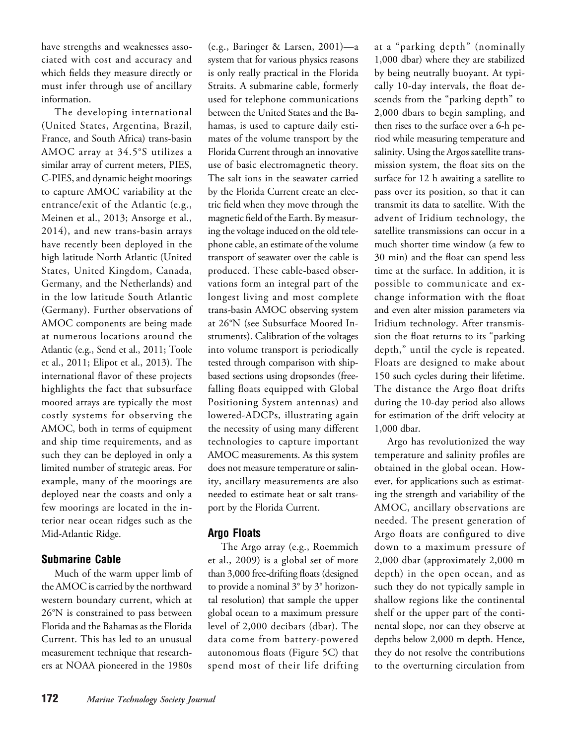have strengths and weaknesses associated with cost and accuracy and which fields they measure directly or must infer through use of ancillary information.

The developing international (United States, Argentina, Brazil, France, and South Africa) trans-basin AMOC array at 34.5°S utilizes a similar array of current meters, PIES, C-PIES, and dynamic height moorings to capture AMOC variability at the entrance/exit of the Atlantic (e.g., Meinen et al., 2013; Ansorge et al., 2014), and new trans-basin arrays have recently been deployed in the high latitude North Atlantic (United States, United Kingdom, Canada, Germany, and the Netherlands) and in the low latitude South Atlantic (Germany). Further observations of AMOC components are being made at numerous locations around the Atlantic (e.g., Send et al., 2011; Toole et al., 2011; Elipot et al., 2013). The international flavor of these projects highlights the fact that subsurface moored arrays are typically the most costly systems for observing the AMOC, both in terms of equipment and ship time requirements, and as such they can be deployed in only a limited number of strategic areas. For example, many of the moorings are deployed near the coasts and only a few moorings are located in the interior near ocean ridges such as the Mid-Atlantic Ridge.

# Submarine Cable

Much of the warm upper limb of the AMOC is carried by the northward western boundary current, which at 26°N is constrained to pass between Florida and the Bahamas as the Florida Current. This has led to an unusual measurement technique that researchers at NOAA pioneered in the 1980s

(e.g., Baringer & Larsen, 2001)—a system that for various physics reasons is only really practical in the Florida Straits. A submarine cable, formerly used for telephone communications between the United States and the Bahamas, is used to capture daily estimates of the volume transport by the Florida Current through an innovative use of basic electromagnetic theory. The salt ions in the seawater carried by the Florida Current create an electric field when they move through the magnetic field of the Earth. By measuring the voltage induced on the old telephone cable, an estimate of the volume transport of seawater over the cable is produced. These cable-based observations form an integral part of the longest living and most complete trans-basin AMOC observing system at 26°N (see Subsurface Moored Instruments). Calibration of the voltages into volume transport is periodically tested through comparison with shipbased sections using dropsondes (freefalling floats equipped with Global Positioning System antennas) and lowered-ADCPs, illustrating again the necessity of using many different technologies to capture important AMOC measurements. As this system does not measure temperature or salinity, ancillary measurements are also needed to estimate heat or salt transport by the Florida Current.

# Argo Floats

The Argo array (e.g., Roemmich et al., 2009) is a global set of more than 3,000 free-drifting floats (designed to provide a nominal 3° by 3° horizontal resolution) that sample the upper global ocean to a maximum pressure level of 2,000 decibars (dbar). The data come from battery-powered autonomous floats (Figure 5C) that spend most of their life drifting at a "parking depth" (nominally 1,000 dbar) where they are stabilized by being neutrally buoyant. At typically 10-day intervals, the float descends from the "parking depth" to 2,000 dbars to begin sampling, and then rises to the surface over a 6-h period while measuring temperature and salinity. Using the Argos satellite transmission system, the float sits on the surface for 12 h awaiting a satellite to pass over its position, so that it can transmit its data to satellite. With the advent of Iridium technology, the satellite transmissions can occur in a much shorter time window (a few to 30 min) and the float can spend less time at the surface. In addition, it is possible to communicate and exchange information with the float and even alter mission parameters via Iridium technology. After transmission the float returns to its "parking depth," until the cycle is repeated. Floats are designed to make about 150 such cycles during their lifetime. The distance the Argo float drifts during the 10-day period also allows for estimation of the drift velocity at 1,000 dbar.

Argo has revolutionized the way temperature and salinity profiles are obtained in the global ocean. However, for applications such as estimating the strength and variability of the AMOC, ancillary observations are needed. The present generation of Argo floats are configured to dive down to a maximum pressure of 2,000 dbar (approximately 2,000 m depth) in the open ocean, and as such they do not typically sample in shallow regions like the continental shelf or the upper part of the continental slope, nor can they observe at depths below 2,000 m depth. Hence, they do not resolve the contributions to the overturning circulation from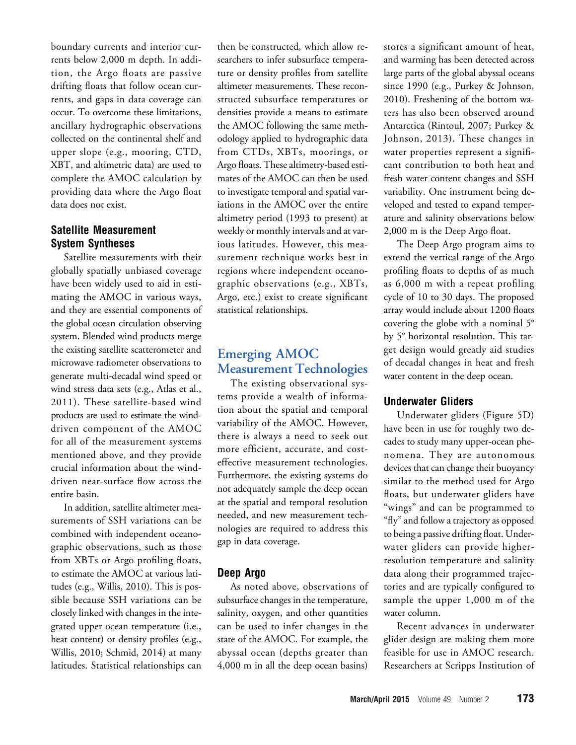boundary currents and interior currents below 2,000 m depth. In addition, the Argo floats are passive drifting floats that follow ocean currents, and gaps in data coverage can occur. To overcome these limitations, ancillary hydrographic observations collected on the continental shelf and upper slope (e.g., mooring, CTD, XBT, and altimetric data) are used to complete the AMOC calculation by providing data where the Argo float data does not exist.

# Satellite Measurement System Syntheses

Satellite measurements with their globally spatially unbiased coverage have been widely used to aid in estimating the AMOC in various ways, and they are essential components of the global ocean circulation observing system. Blended wind products merge the existing satellite scatterometer and microwave radiometer observations to generate multi-decadal wind speed or wind stress data sets (e.g., Atlas et al., 2011). These satellite-based wind products are used to estimate the winddriven component of the AMOC for all of the measurement systems mentioned above, and they provide crucial information about the winddriven near-surface flow across the entire basin.

In addition, satellite altimeter measurements of SSH variations can be combined with independent oceanographic observations, such as those from XBTs or Argo profiling floats, to estimate the AMOC at various latitudes (e.g., Willis, 2010). This is possible because SSH variations can be closely linked with changes in the integrated upper ocean temperature (i.e., heat content) or density profiles (e.g., Willis, 2010; Schmid, 2014) at many latitudes. Statistical relationships can

then be constructed, which allow researchers to infer subsurface temperature or density profiles from satellite altimeter measurements. These reconstructed subsurface temperatures or densities provide a means to estimate the AMOC following the same methodology applied to hydrographic data from CTDs, XBTs, moorings, or Argo floats. These altimetry-based estimates of the AMOC can then be used to investigate temporal and spatial variations in the AMOC over the entire altimetry period (1993 to present) at weekly or monthly intervals and at various latitudes. However, this measurement technique works best in regions where independent oceanographic observations (e.g., XBTs, Argo, etc.) exist to create significant statistical relationships.

# Emerging AMOC Measurement Technologies

The existing observational systems provide a wealth of information about the spatial and temporal variability of the AMOC. However, there is always a need to seek out more efficient, accurate, and costeffective measurement technologies. Furthermore, the existing systems do not adequately sample the deep ocean at the spatial and temporal resolution needed, and new measurement technologies are required to address this gap in data coverage.

#### Deep Argo

As noted above, observations of subsurface changes in the temperature, salinity, oxygen, and other quantities can be used to infer changes in the state of the AMOC. For example, the abyssal ocean (depths greater than 4,000 m in all the deep ocean basins)

stores a significant amount of heat, and warming has been detected across large parts of the global abyssal oceans since 1990 (e.g., Purkey & Johnson, 2010). Freshening of the bottom waters has also been observed around Antarctica (Rintoul, 2007; Purkey & Johnson, 2013). These changes in water properties represent a significant contribution to both heat and fresh water content changes and SSH variability. One instrument being developed and tested to expand temperature and salinity observations below 2,000 m is the Deep Argo float.

The Deep Argo program aims to extend the vertical range of the Argo profiling floats to depths of as much as 6,000 m with a repeat profiling cycle of 10 to 30 days. The proposed array would include about 1200 floats covering the globe with a nominal 5° by 5° horizontal resolution. This target design would greatly aid studies of decadal changes in heat and fresh water content in the deep ocean.

# Underwater Gliders

Underwater gliders (Figure 5D) have been in use for roughly two decades to study many upper-ocean phenomena. They are autonomous devices that can change their buoyancy similar to the method used for Argo floats, but underwater gliders have "wings" and can be programmed to "fly"and follow a trajectory as opposed to being a passive drifting float. Underwater gliders can provide higherresolution temperature and salinity data along their programmed trajectories and are typically configured to sample the upper 1,000 m of the water column.

Recent advances in underwater glider design are making them more feasible for use in AMOC research. Researchers at Scripps Institution of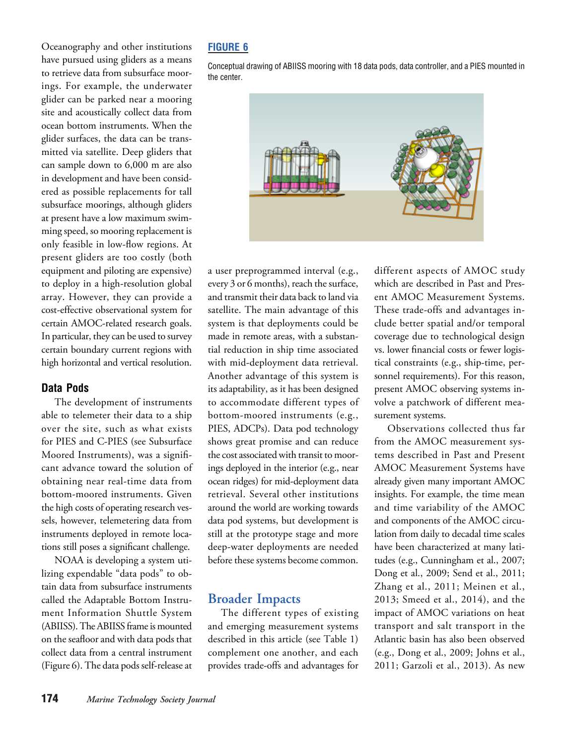Oceanography and other institutions have pursued using gliders as a means to retrieve data from subsurface moorings. For example, the underwater glider can be parked near a mooring site and acoustically collect data from ocean bottom instruments. When the glider surfaces, the data can be transmitted via satellite. Deep gliders that can sample down to 6,000 m are also in development and have been considered as possible replacements for tall subsurface moorings, although gliders at present have a low maximum swimming speed, so mooring replacement is only feasible in low-flow regions. At present gliders are too costly (both equipment and piloting are expensive) to deploy in a high-resolution global array. However, they can provide a cost-effective observational system for certain AMOC-related research goals. In particular, they can be used to survey certain boundary current regions with high horizontal and vertical resolution.

#### Data Pods

The development of instruments able to telemeter their data to a ship over the site, such as what exists for PIES and C-PIES (see Subsurface Moored Instruments), was a significant advance toward the solution of obtaining near real-time data from bottom-moored instruments. Given the high costs of operating research vessels, however, telemetering data from instruments deployed in remote locations still poses a significant challenge.

NOAA is developing a system utilizing expendable "data pods" to obtain data from subsurface instruments called the Adaptable Bottom Instrument Information Shuttle System (ABIISS). The ABIISS frame is mounted on the seafloor and with data pods that collect data from a central instrument (Figure 6). The data pods self-release at

## FIGURE 6

Conceptual drawing of ABIISS mooring with 18 data pods, data controller, and a PIES mounted in the center.



a user preprogrammed interval (e.g., every 3 or 6 months), reach the surface, and transmit their data back to land via satellite. The main advantage of this system is that deployments could be made in remote areas, with a substantial reduction in ship time associated with mid-deployment data retrieval. Another advantage of this system is its adaptability, as it has been designed to accommodate different types of bottom-moored instruments (e.g., PIES, ADCPs). Data pod technology shows great promise and can reduce the cost associated with transit to moorings deployed in the interior (e.g., near ocean ridges) for mid-deployment data retrieval. Several other institutions around the world are working towards data pod systems, but development is still at the prototype stage and more deep-water deployments are needed before these systems become common.

#### Broader Impacts

The different types of existing and emerging measurement systems described in this article (see Table 1) complement one another, and each provides trade-offs and advantages for different aspects of AMOC study which are described in Past and Present AMOC Measurement Systems. These trade-offs and advantages include better spatial and/or temporal coverage due to technological design vs. lower financial costs or fewer logistical constraints (e.g., ship-time, personnel requirements). For this reason, present AMOC observing systems involve a patchwork of different measurement systems.

Observations collected thus far from the AMOC measurement systems described in Past and Present AMOC Measurement Systems have already given many important AMOC insights. For example, the time mean and time variability of the AMOC and components of the AMOC circulation from daily to decadal time scales have been characterized at many latitudes (e.g., Cunningham et al., 2007; Dong et al., 2009; Send et al., 2011; Zhang et al., 2011; Meinen et al., 2013; Smeed et al., 2014), and the impact of AMOC variations on heat transport and salt transport in the Atlantic basin has also been observed (e.g., Dong et al., 2009; Johns et al., 2011; Garzoli et al., 2013). As new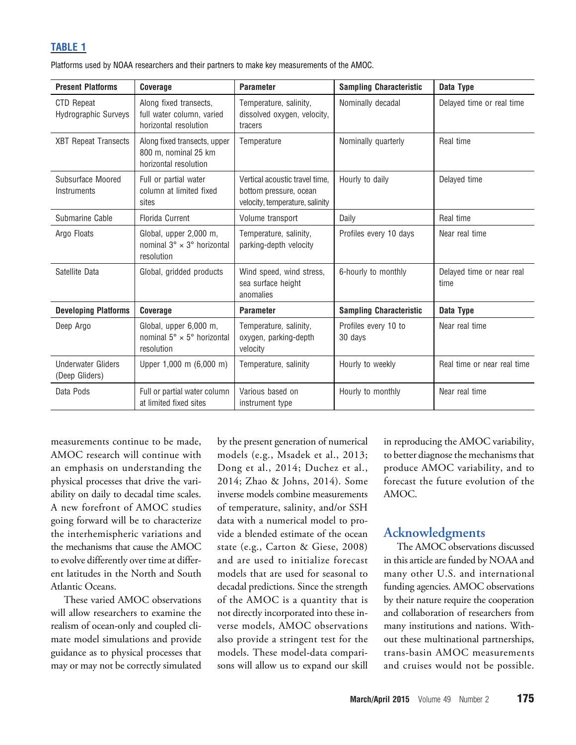# TABLE 1

|  |  |  | Platforms used by NOAA researchers and their partners to make key measurements of the AMOC. |
|--|--|--|---------------------------------------------------------------------------------------------|
|--|--|--|---------------------------------------------------------------------------------------------|

| <b>Present Platforms</b>                         | Coverage                                                                            | <b>Parameter</b>                                                                            | <b>Sampling Characteristic</b>  | Data Type                         |
|--------------------------------------------------|-------------------------------------------------------------------------------------|---------------------------------------------------------------------------------------------|---------------------------------|-----------------------------------|
| <b>CTD Repeat</b><br><b>Hydrographic Surveys</b> | Along fixed transects,<br>full water column, varied<br>horizontal resolution        | Temperature, salinity,<br>dissolved oxygen, velocity,<br>tracers                            | Nominally decadal               | Delayed time or real time         |
| <b>XBT Repeat Transects</b>                      | Along fixed transects, upper<br>800 m. nominal 25 km<br>horizontal resolution       | Temperature                                                                                 | Nominally quarterly             | Real time                         |
| Subsurface Moored<br>Instruments                 | Full or partial water<br>column at limited fixed<br>sites                           | Vertical acoustic travel time.<br>bottom pressure, ocean<br>velocity, temperature, salinity | Hourly to daily                 | Delayed time                      |
| Submarine Cable                                  | Florida Current                                                                     | Volume transport                                                                            | Daily                           | Real time                         |
| Argo Floats                                      | Global, upper 2,000 m,<br>nominal $3^\circ \times 3^\circ$ horizontal<br>resolution | Temperature, salinity,<br>parking-depth velocity                                            | Profiles every 10 days          | Near real time                    |
| Satellite Data                                   | Global, gridded products                                                            | Wind speed, wind stress,<br>sea surface height<br>anomalies                                 | 6-hourly to monthly             | Delayed time or near real<br>time |
| <b>Developing Platforms</b>                      | Coverage                                                                            | <b>Parameter</b>                                                                            | <b>Sampling Characteristic</b>  | Data Type                         |
| Deep Argo                                        | Global, upper 6,000 m,<br>nominal $5^\circ \times 5^\circ$ horizontal<br>resolution | Temperature, salinity,<br>oxygen, parking-depth<br>velocity                                 | Profiles every 10 to<br>30 days | Near real time                    |
| <b>Underwater Gliders</b><br>(Deep Gliders)      | Upper 1,000 m (6,000 m)                                                             | Temperature, salinity                                                                       | Hourly to weekly                | Real time or near real time       |
| Data Pods                                        | Full or partial water column<br>at limited fixed sites                              | Various based on<br>instrument type                                                         | Hourly to monthly               | Near real time                    |

measurements continue to be made, AMOC research will continue with an emphasis on understanding the physical processes that drive the variability on daily to decadal time scales. A new forefront of AMOC studies going forward will be to characterize the interhemispheric variations and the mechanisms that cause the AMOC to evolve differently over time at different latitudes in the North and South Atlantic Oceans.

These varied AMOC observations will allow researchers to examine the realism of ocean-only and coupled climate model simulations and provide guidance as to physical processes that may or may not be correctly simulated by the present generation of numerical models (e.g., Msadek et al., 2013; Dong et al., 2014; Duchez et al., 2014; Zhao & Johns, 2014). Some inverse models combine measurements of temperature, salinity, and/or SSH data with a numerical model to provide a blended estimate of the ocean state (e.g., Carton & Giese, 2008) and are used to initialize forecast models that are used for seasonal to decadal predictions. Since the strength of the AMOC is a quantity that is not directly incorporated into these inverse models, AMOC observations also provide a stringent test for the models. These model-data comparisons will allow us to expand our skill in reproducing the AMOC variability, to better diagnose the mechanisms that produce AMOC variability, and to forecast the future evolution of the AMOC.

# Acknowledgments

The AMOC observations discussed in this article are funded by NOAA and many other U.S. and international funding agencies. AMOC observations by their nature require the cooperation and collaboration of researchers from many institutions and nations. Without these multinational partnerships, trans-basin AMOC measurements and cruises would not be possible.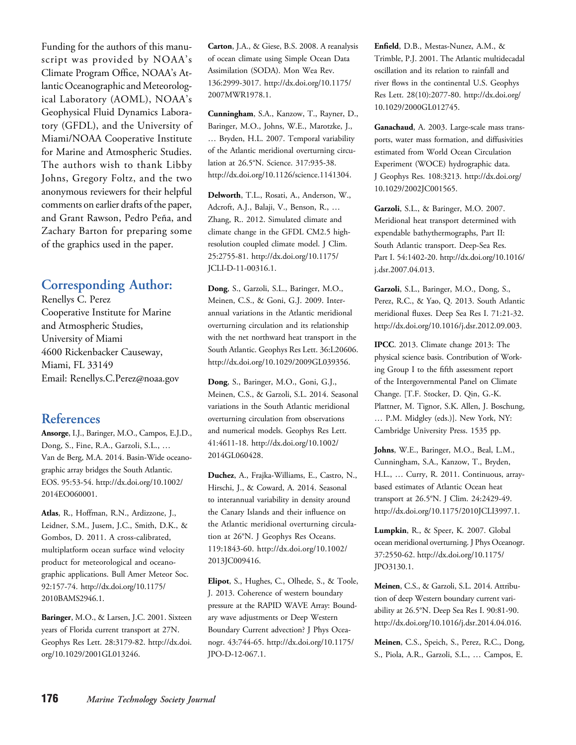Funding for the authors of this manuscript was provided by NOAA's Climate Program Office, NOAA's Atlantic Oceanographic and Meteorological Laboratory (AOML), NOAA's Geophysical Fluid Dynamics Laboratory (GFDL), and the University of Miami/NOAA Cooperative Institute for Marine and Atmospheric Studies. The authors wish to thank Libby Johns, Gregory Foltz, and the two anonymous reviewers for their helpful comments on earlier drafts of the paper, and Grant Rawson, Pedro Peña, and Zachary Barton for preparing some of the graphics used in the paper.

# Corresponding Author:

Renellys C. Perez Cooperative Institute for Marine and Atmospheric Studies, University of Miami 4600 Rickenbacker Causeway, Miami, FL 33149 Email: Renellys.C.Perez@noaa.gov

# References

Ansorge, I.J., Baringer, M.O., Campos, E.J.D., Dong, S., Fine, R.A., Garzoli, S.L., … Van de Berg, M.A. 2014. Basin-Wide oceanographic array bridges the South Atlantic. EOS. 95:53-54. http://dx.doi.org/10.1002/ 2014EO060001.

Atlas, R., Hoffman, R.N., Ardizzone, J., Leidner, S.M., Jusem, J.C., Smith, D.K., & Gombos, D. 2011. A cross-calibrated, multiplatform ocean surface wind velocity product for meteorological and oceanographic applications. Bull Amer Meteor Soc. 92:157-74. http://dx.doi.org/10.1175/ 2010BAMS2946.1.

Baringer, M.O., & Larsen, J.C. 2001. Sixteen years of Florida current transport at 27N. Geophys Res Lett. 28:3179-82. http://dx.doi. org/10.1029/2001GL013246.

Carton, J.A., & Giese, B.S. 2008. A reanalysis of ocean climate using Simple Ocean Data Assimilation (SODA). Mon Wea Rev. 136:2999-3017. http://dx.doi.org/10.1175/ 2007MWR1978.1.

Cunningham, S.A., Kanzow, T., Rayner, D., Baringer, M.O., Johns, W.E., Marotzke, J., … Bryden, H.L. 2007. Temporal variability of the Atlantic meridional overturning circulation at 26.5°N. Science. 317:935-38. http://dx.doi.org/10.1126/science.1141304.

Delworth, T.L., Rosati, A., Anderson, W., Adcroft, A.J., Balaji, V., Benson, R., … Zhang, R.. 2012. Simulated climate and climate change in the GFDL CM2.5 highresolution coupled climate model. J Clim. 25:2755-81. http://dx.doi.org/10.1175/ JCLI-D-11-00316.1.

Dong, S., Garzoli, S.L., Baringer, M.O., Meinen, C.S., & Goni, G.J. 2009. Interannual variations in the Atlantic meridional overturning circulation and its relationship with the net northward heat transport in the South Atlantic. Geophys Res Lett. 36:L20606. http://dx.doi.org/10.1029/2009GL039356.

Dong, S., Baringer, M.O., Goni, G.J., Meinen, C.S., & Garzoli, S.L. 2014. Seasonal variations in the South Atlantic meridional overturning circulation from observations and numerical models. Geophys Res Lett. 41:4611-18. http://dx.doi.org/10.1002/ 2014GL060428.

Duchez, A., Frajka-Williams, E., Castro, N., Hirschi, J., & Coward, A. 2014. Seasonal to interannual variability in density around the Canary Islands and their influence on the Atlantic meridional overturning circulation at 26°N. J Geophys Res Oceans. 119:1843-60. http://dx.doi.org/10.1002/ 2013JC009416.

Elipot, S., Hughes, C., Olhede, S., & Toole, J. 2013. Coherence of western boundary pressure at the RAPID WAVE Array: Boundary wave adjustments or Deep Western Boundary Current advection? J Phys Oceanogr. 43:744-65. http://dx.doi.org/10.1175/ JPO-D-12-067.1.

Enfield, D.B., Mestas-Nunez, A.M., & Trimble, P.J. 2001. The Atlantic multidecadal oscillation and its relation to rainfall and river flows in the continental U.S. Geophys Res Lett. 28(10):2077-80. http://dx.doi.org/ 10.1029/2000GL012745.

Ganachaud, A. 2003. Large-scale mass transports, water mass formation, and diffusivities estimated from World Ocean Circulation Experiment (WOCE) hydrographic data. J Geophys Res. 108:3213. http://dx.doi.org/ 10.1029/2002JC001565.

Garzoli, S.L., & Baringer, M.O. 2007. Meridional heat transport determined with expendable bathythermographs, Part II: South Atlantic transport. Deep-Sea Res. Part I. 54:1402-20. http://dx.doi.org/10.1016/ j.dsr.2007.04.013.

Garzoli, S.L., Baringer, M.O., Dong, S., Perez, R.C., & Yao, Q. 2013. South Atlantic meridional fluxes. Deep Sea Res I. 71:21-32. http://dx.doi.org/10.1016/j.dsr.2012.09.003.

IPCC. 2013. Climate change 2013: The physical science basis. Contribution of Working Group I to the fifth assessment report of the Intergovernmental Panel on Climate Change. [T.F. Stocker, D. Qin, G.-K. Plattner, M. Tignor, S.K. Allen, J. Boschung, … P.M. Midgley (eds.)]. New York, NY: Cambridge University Press. 1535 pp.

Johns, W.E., Baringer, M.O., Beal, L.M., Cunningham, S.A., Kanzow, T., Bryden, H.L., … Curry, R. 2011. Continuous, arraybased estimates of Atlantic Ocean heat transport at 26.5°N. J Clim. 24:2429-49. http://dx.doi.org/10.1175/2010JCLI3997.1.

Lumpkin, R., & Speer, K. 2007. Global ocean meridional overturning. J Phys Oceanogr. 37:2550-62. http://dx.doi.org/10.1175/ JPO3130.1.

Meinen, C.S., & Garzoli, S.L. 2014. Attribution of deep Western boundary current variability at 26.5°N. Deep Sea Res I. 90:81-90. http://dx.doi.org/10.1016/j.dsr.2014.04.016.

Meinen, C.S., Speich, S., Perez, R.C., Dong, S., Piola, A.R., Garzoli, S.L., … Campos, E.